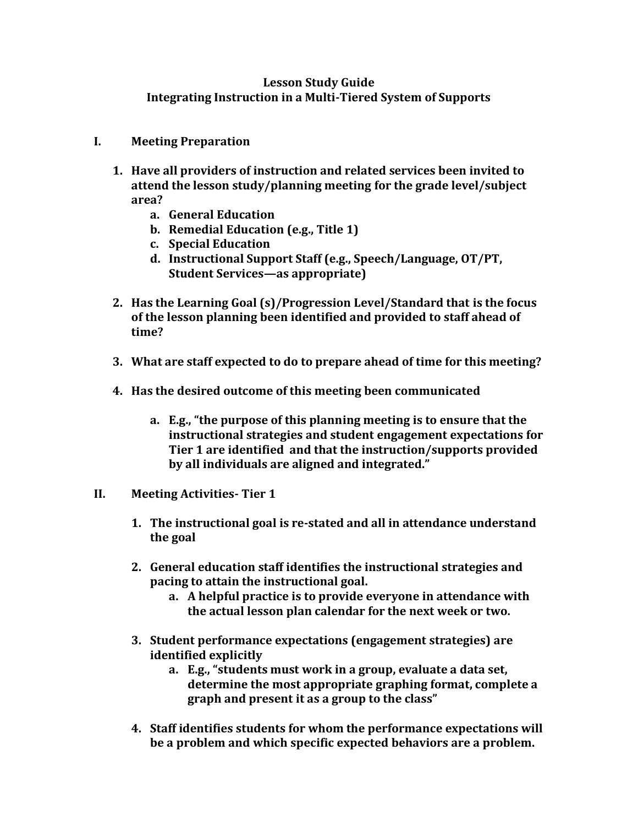## **Lesson Study Guide Integrating Instruction in a Multi-Tiered System of Supports**

- **I. Meeting Preparation**
	- **1. Have all providers of instruction and related services been invited to attend the lesson study/planning meeting for the grade level/subject area?**
		- **a. General Education**
		- **b. Remedial Education (e.g., Title 1)**
		- **c. Special Education**
		- **d. Instructional Support Staff (e.g., Speech/Language, OT/PT, Student Services—as appropriate)**
	- **2. Has the Learning Goal (s)/Progression Level/Standard that is the focus of the lesson planning been identified and provided to staff ahead of time?**
	- **3. What are staff expected to do to prepare ahead of time for this meeting?**
	- **4. Has the desired outcome of this meeting been communicated**
		- **a. E.g., "the purpose of this planning meeting is to ensure that the instructional strategies and student engagement expectations for Tier 1 are identified and that the instruction/supports provided by all individuals are aligned and integrated."**
- **II. Meeting Activities- Tier 1**
	- **1. The instructional goal is re-stated and all in attendance understand the goal**
	- **2. General education staff identifies the instructional strategies and pacing to attain the instructional goal.**
		- **a. A helpful practice is to provide everyone in attendance with the actual lesson plan calendar for the next week or two.**
	- **3. Student performance expectations (engagement strategies) are identified explicitly**
		- **a. E.g., "students must work in a group, evaluate a data set, determine the most appropriate graphing format, complete a graph and present it as a group to the class"**
	- **4. Staff identifies students for whom the performance expectations will be a problem and which specific expected behaviors are a problem.**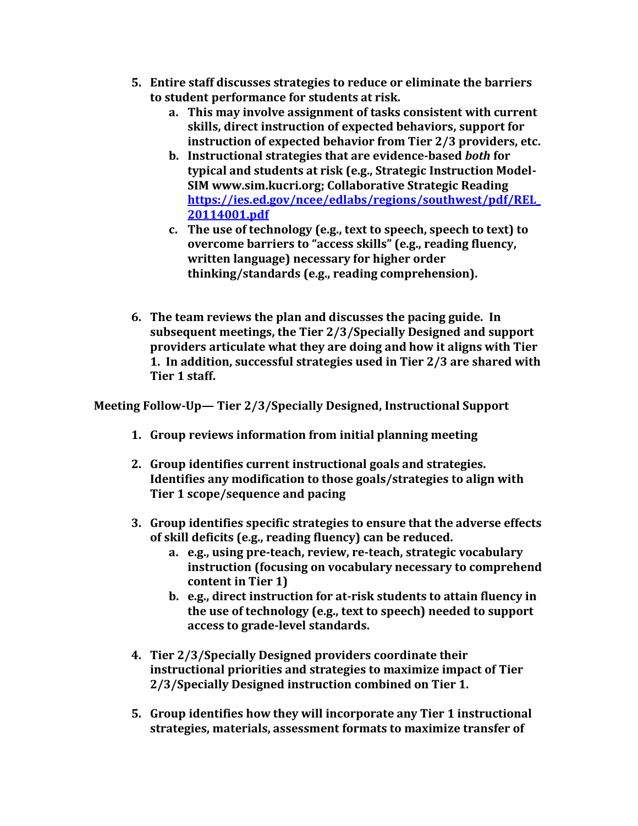- **5. Entire staff discusses strategies to reduce or eliminate the barriers to student performance for students at risk.**
	- **a. This may involve assignment of tasks consistent with current skills, direct instruction of expected behaviors, support for instruction of expected behavior from Tier 2/3 providers, etc.**
	- **b. Instructional strategies that are evidence-based** *both* **for typical and students at risk (e.g., Strategic Instruction Model-SIM www.sim.kucri.org; Collaborative Strategic Reading [https://ies.ed.gov/ncee/edlabs/regions/southwest/pdf/REL\\_](https://ies.ed.gov/ncee/edlabs/regions/southwest/pdf/REL_20114001.pdf) [20114001.pdf](https://ies.ed.gov/ncee/edlabs/regions/southwest/pdf/REL_20114001.pdf)**
	- **c. The use of technology (e.g., text to speech, speech to text) to overcome barriers to "access skills" (e.g., reading fluency, written language) necessary for higher order thinking/standards (e.g., reading comprehension).**
- **6. The team reviews the plan and discusses the pacing guide. In subsequent meetings, the Tier 2/3/Specially Designed and support providers articulate what they are doing and how it aligns with Tier 1. In addition, successful strategies used in Tier 2/3 are shared with Tier 1 staff.**

**Meeting Follow-Up— Tier 2/3/Specially Designed, Instructional Support**

- **1. Group reviews information from initial planning meeting**
- **2. Group identifies current instructional goals and strategies. Identifies any modification to those goals/strategies to align with Tier 1 scope/sequence and pacing**
- **3. Group identifies specific strategies to ensure that the adverse effects of skill deficits (e.g., reading fluency) can be reduced.**
	- **a. e.g., using pre-teach, review, re-teach, strategic vocabulary instruction (focusing on vocabulary necessary to comprehend content in Tier 1)**
	- **b. e.g., direct instruction for at-risk students to attain fluency in the use of technology (e.g., text to speech) needed to support access to grade-level standards.**
- **4. Tier 2/3/Specially Designed providers coordinate their instructional priorities and strategies to maximize impact of Tier 2/3/Specially Designed instruction combined on Tier 1.**
- **5. Group identifies how they will incorporate any Tier 1 instructional strategies, materials, assessment formats to maximize transfer of**